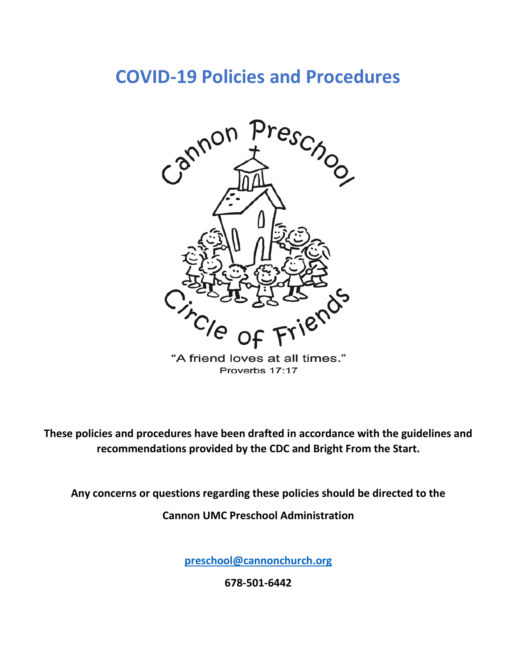# **COVID-19 Policies and Procedures**



"A friend loves at all times." Proverbs 17:17

**These policies and procedures have been drafted in accordance with the guidelines and recommendations provided by the CDC and Bright From the Start.**

**Any concerns or questions regarding these policies should be directed to the** 

**Cannon UMC Preschool Administration**

**[preschool@cannonchurch.org](mailto:preschool@cannonchurch.org)**

**678-501-6442**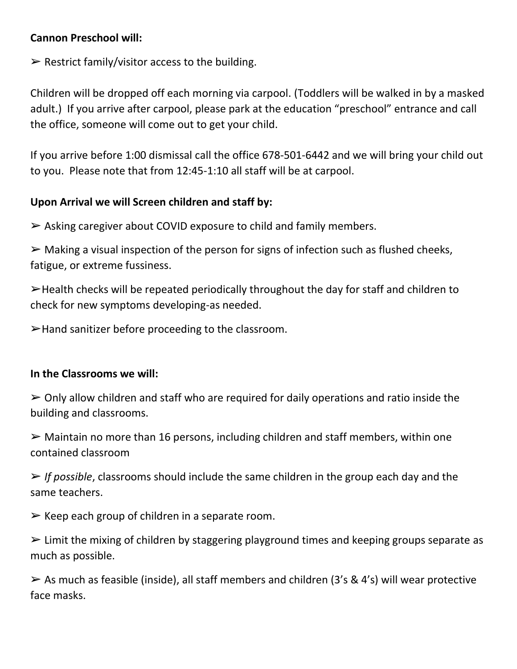# **Cannon Preschool will:**

 $\triangleright$  Restrict family/visitor access to the building.

Children will be dropped off each morning via carpool. (Toddlers will be walked in by a masked adult.) If you arrive after carpool, please park at the education "preschool" entrance and call the office, someone will come out to get your child.

If you arrive before 1:00 dismissal call the office 678-501-6442 and we will bring your child out to you. Please note that from 12:45-1:10 all staff will be at carpool.

### **Upon Arrival we will Screen children and staff by:**

➢ Asking caregiver about COVID exposure to child and family members.

 $\triangleright$  Making a visual inspection of the person for signs of infection such as flushed cheeks, fatigue, or extreme fussiness.

➢Health checks will be repeated periodically throughout the day for staff and children to check for new symptoms developing-as needed.

 $\blacktriangleright$  Hand sanitizer before proceeding to the classroom.

### **In the Classrooms we will:**

 $\geq$  Only allow children and staff who are required for daily operations and ratio inside the building and classrooms.

 $\triangleright$  Maintain no more than 16 persons, including children and staff members, within one contained classroom

➢ *If possible*, classrooms should include the same children in the group each day and the same teachers.

 $\triangleright$  Keep each group of children in a separate room.

 $\triangleright$  Limit the mixing of children by staggering playground times and keeping groups separate as much as possible.

 $\triangleright$  As much as feasible (inside), all staff members and children (3's & 4's) will wear protective face masks.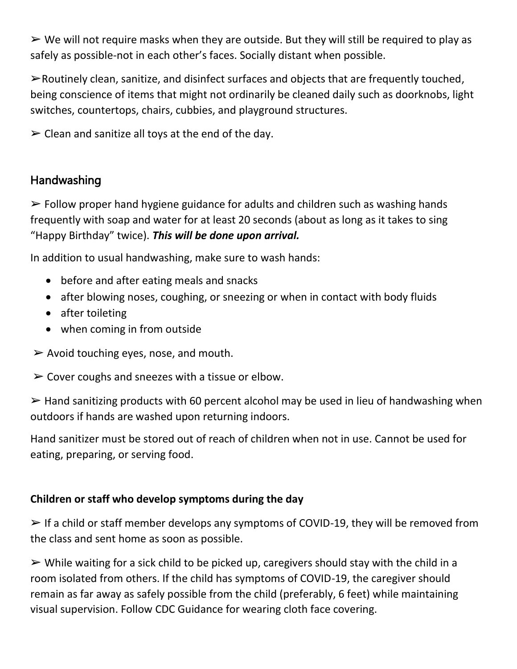$\triangleright$  We will not require masks when they are outside. But they will still be required to play as safely as possible-not in each other's faces. Socially distant when possible.

➢Routinely clean, sanitize, and disinfect surfaces and objects that are frequently touched, being conscience of items that might not ordinarily be cleaned daily such as doorknobs, light switches, countertops, chairs, cubbies, and playground structures.

 $\triangleright$  Clean and sanitize all toys at the end of the day.

# Handwashing

 $\triangleright$  Follow proper hand hygiene guidance for adults and children such as washing hands frequently with soap and water for at least 20 seconds (about as long as it takes to sing "Happy Birthday" twice). *This will be done upon arrival.*

In addition to usual handwashing, make sure to wash hands:

- before and after eating meals and snacks
- after blowing noses, coughing, or sneezing or when in contact with body fluids
- after toileting
- when coming in from outside
- $\triangleright$  Avoid touching eyes, nose, and mouth.

 $\triangleright$  Cover coughs and sneezes with a tissue or elbow.

➢ Hand sanitizing products with 60 percent alcohol may be used in lieu of handwashing when outdoors if hands are washed upon returning indoors.

Hand sanitizer must be stored out of reach of children when not in use. Cannot be used for eating, preparing, or serving food.

# **Children or staff who develop symptoms during the day**

➢ If a child or staff member develops any symptoms of COVID-19, they will be removed from the class and sent home as soon as possible.

➢ While waiting for a sick child to be picked up, caregivers should stay with the child in a room isolated from others. If the child has symptoms of COVID-19, the caregiver should remain as far away as safely possible from the child (preferably, 6 feet) while maintaining visual supervision. Follow CDC Guidance for wearing cloth face covering.